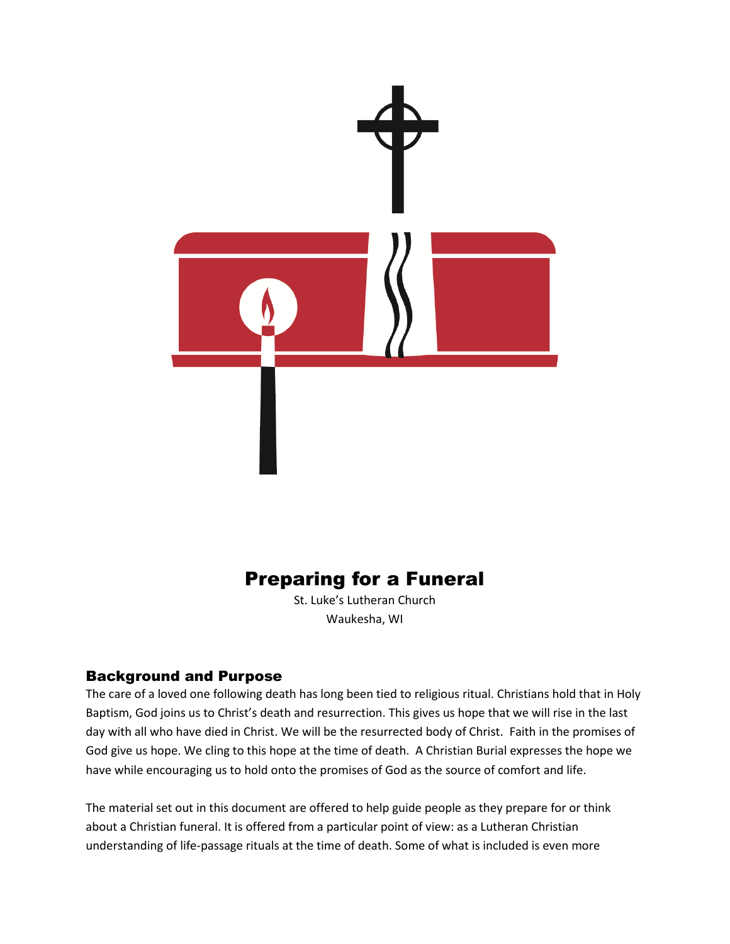

# Preparing for a Funeral

St. Luke's Lutheran Church Waukesha, WI

# Background and Purpose

The care of a loved one following death has long been tied to religious ritual. Christians hold that in Holy Baptism, God joins us to Christ's death and resurrection. This gives us hope that we will rise in the last day with all who have died in Christ. We will be the resurrected body of Christ. Faith in the promises of God give us hope. We cling to this hope at the time of death. A Christian Burial expresses the hope we have while encouraging us to hold onto the promises of God as the source of comfort and life.

The material set out in this document are offered to help guide people as they prepare for or think about a Christian funeral. It is offered from a particular point of view: as a Lutheran Christian understanding of life-passage rituals at the time of death. Some of what is included is even more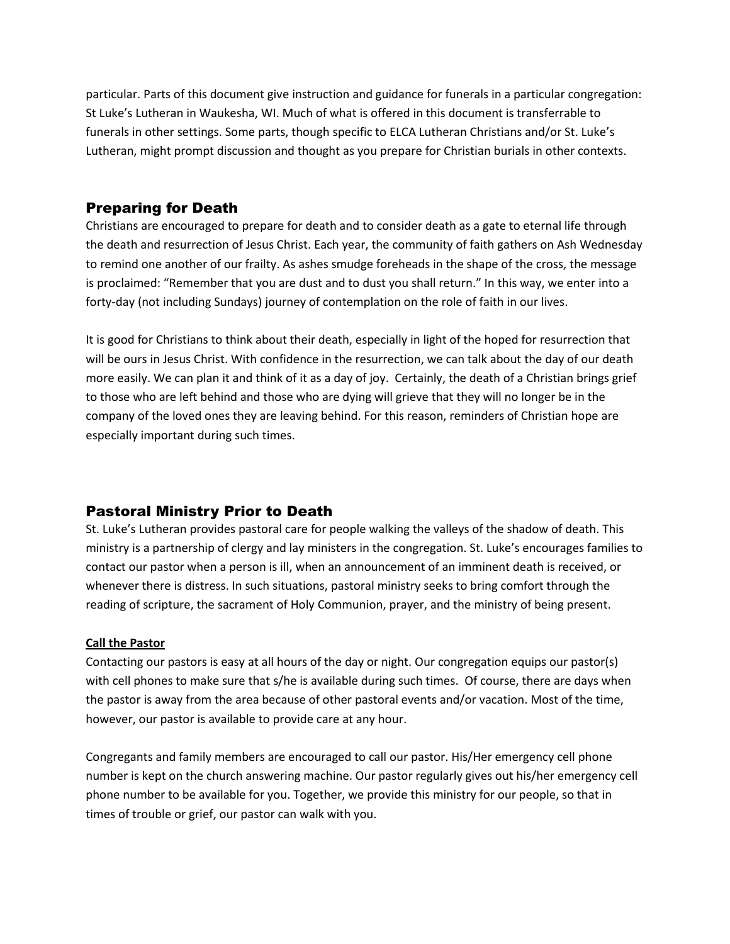particular. Parts of this document give instruction and guidance for funerals in a particular congregation: St Luke's Lutheran in Waukesha, WI. Much of what is offered in this document is transferrable to funerals in other settings. Some parts, though specific to ELCA Lutheran Christians and/or St. Luke's Lutheran, might prompt discussion and thought as you prepare for Christian burials in other contexts.

# Preparing for Death

Christians are encouraged to prepare for death and to consider death as a gate to eternal life through the death and resurrection of Jesus Christ. Each year, the community of faith gathers on Ash Wednesday to remind one another of our frailty. As ashes smudge foreheads in the shape of the cross, the message is proclaimed: "Remember that you are dust and to dust you shall return." In this way, we enter into a forty-day (not including Sundays) journey of contemplation on the role of faith in our lives.

It is good for Christians to think about their death, especially in light of the hoped for resurrection that will be ours in Jesus Christ. With confidence in the resurrection, we can talk about the day of our death more easily. We can plan it and think of it as a day of joy. Certainly, the death of a Christian brings grief to those who are left behind and those who are dying will grieve that they will no longer be in the company of the loved ones they are leaving behind. For this reason, reminders of Christian hope are especially important during such times.

# Pastoral Ministry Prior to Death

St. Luke's Lutheran provides pastoral care for people walking the valleys of the shadow of death. This ministry is a partnership of clergy and lay ministers in the congregation. St. Luke's encourages families to contact our pastor when a person is ill, when an announcement of an imminent death is received, or whenever there is distress. In such situations, pastoral ministry seeks to bring comfort through the reading of scripture, the sacrament of Holy Communion, prayer, and the ministry of being present.

#### **Call the Pastor**

Contacting our pastors is easy at all hours of the day or night. Our congregation equips our pastor(s) with cell phones to make sure that s/he is available during such times. Of course, there are days when the pastor is away from the area because of other pastoral events and/or vacation. Most of the time, however, our pastor is available to provide care at any hour.

Congregants and family members are encouraged to call our pastor. His/Her emergency cell phone number is kept on the church answering machine. Our pastor regularly gives out his/her emergency cell phone number to be available for you. Together, we provide this ministry for our people, so that in times of trouble or grief, our pastor can walk with you.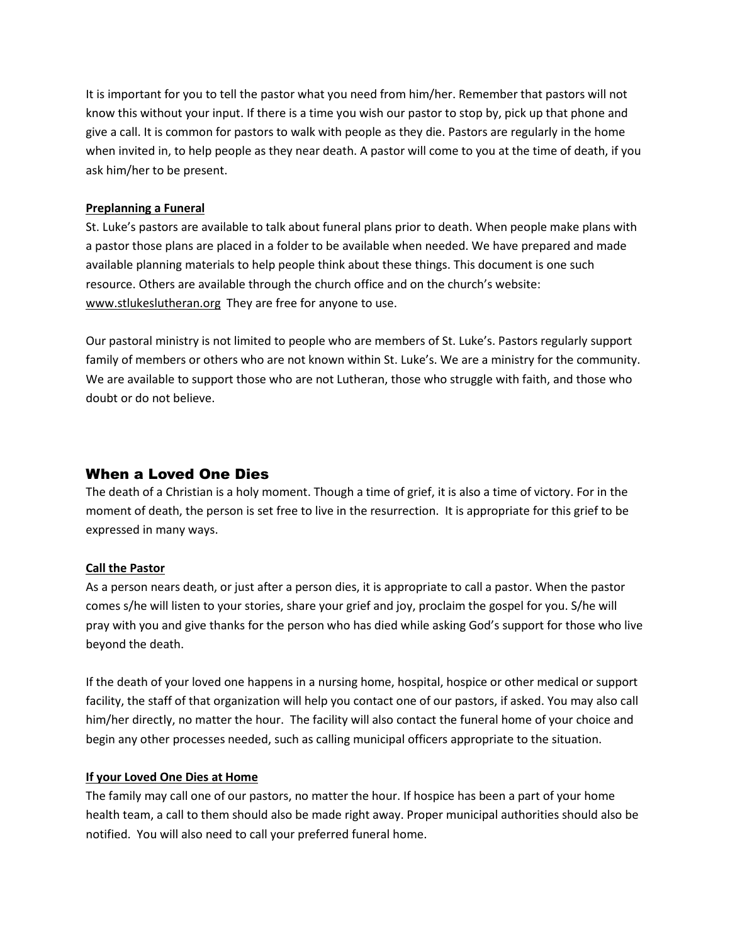It is important for you to tell the pastor what you need from him/her. Remember that pastors will not know this without your input. If there is a time you wish our pastor to stop by, pick up that phone and give a call. It is common for pastors to walk with people as they die. Pastors are regularly in the home when invited in, to help people as they near death. A pastor will come to you at the time of death, if you ask him/her to be present.

#### **Preplanning a Funeral**

St. Luke's pastors are available to talk about funeral plans prior to death. When people make plans with a pastor those plans are placed in a folder to be available when needed. We have prepared and made available planning materials to help people think about these things. This document is one such resource. Others are available through the church office and on the church's website: www.stlukeslutheran.org They are free for anyone to use.

Our pastoral ministry is not limited to people who are members of St. Luke's. Pastors regularly support family of members or others who are not known within St. Luke's. We are a ministry for the community. We are available to support those who are not Lutheran, those who struggle with faith, and those who doubt or do not believe.

# When a Loved One Dies

The death of a Christian is a holy moment. Though a time of grief, it is also a time of victory. For in the moment of death, the person is set free to live in the resurrection. It is appropriate for this grief to be expressed in many ways.

## **Call the Pastor**

As a person nears death, or just after a person dies, it is appropriate to call a pastor. When the pastor comes s/he will listen to your stories, share your grief and joy, proclaim the gospel for you. S/he will pray with you and give thanks for the person who has died while asking God's support for those who live beyond the death.

If the death of your loved one happens in a nursing home, hospital, hospice or other medical or support facility, the staff of that organization will help you contact one of our pastors, if asked. You may also call him/her directly, no matter the hour. The facility will also contact the funeral home of your choice and begin any other processes needed, such as calling municipal officers appropriate to the situation.

#### **If your Loved One Dies at Home**

The family may call one of our pastors, no matter the hour. If hospice has been a part of your home health team, a call to them should also be made right away. Proper municipal authorities should also be notified. You will also need to call your preferred funeral home.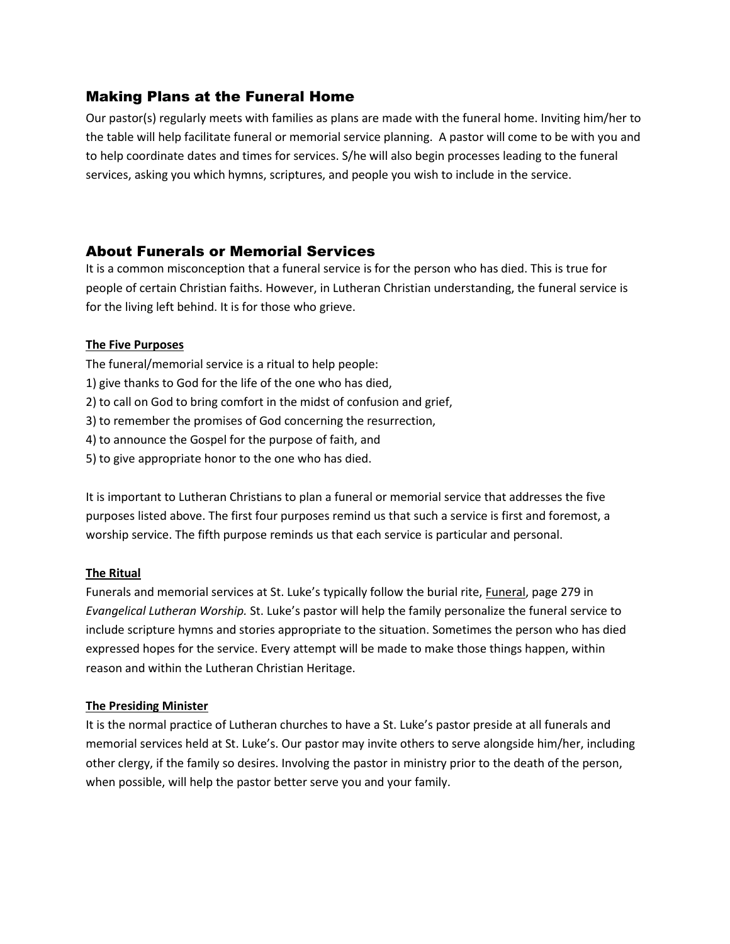# Making Plans at the Funeral Home

Our pastor(s) regularly meets with families as plans are made with the funeral home. Inviting him/her to the table will help facilitate funeral or memorial service planning. A pastor will come to be with you and to help coordinate dates and times for services. S/he will also begin processes leading to the funeral services, asking you which hymns, scriptures, and people you wish to include in the service.

# About Funerals or Memorial Services

It is a common misconception that a funeral service is for the person who has died. This is true for people of certain Christian faiths. However, in Lutheran Christian understanding, the funeral service is for the living left behind. It is for those who grieve.

## **The Five Purposes**

The funeral/memorial service is a ritual to help people:

- 1) give thanks to God for the life of the one who has died,
- 2) to call on God to bring comfort in the midst of confusion and grief,
- 3) to remember the promises of God concerning the resurrection,
- 4) to announce the Gospel for the purpose of faith, and
- 5) to give appropriate honor to the one who has died.

It is important to Lutheran Christians to plan a funeral or memorial service that addresses the five purposes listed above. The first four purposes remind us that such a service is first and foremost, a worship service. The fifth purpose reminds us that each service is particular and personal.

#### **The Ritual**

Funerals and memorial services at St. Luke's typically follow the burial rite, *Funeral*, page 279 in *Evangelical Lutheran Worship.* St. Luke's pastor will help the family personalize the funeral service to include scripture hymns and stories appropriate to the situation. Sometimes the person who has died expressed hopes for the service. Every attempt will be made to make those things happen, within reason and within the Lutheran Christian Heritage.

## **The Presiding Minister**

It is the normal practice of Lutheran churches to have a St. Luke's pastor preside at all funerals and memorial services held at St. Luke's. Our pastor may invite others to serve alongside him/her, including other clergy, if the family so desires. Involving the pastor in ministry prior to the death of the person, when possible, will help the pastor better serve you and your family.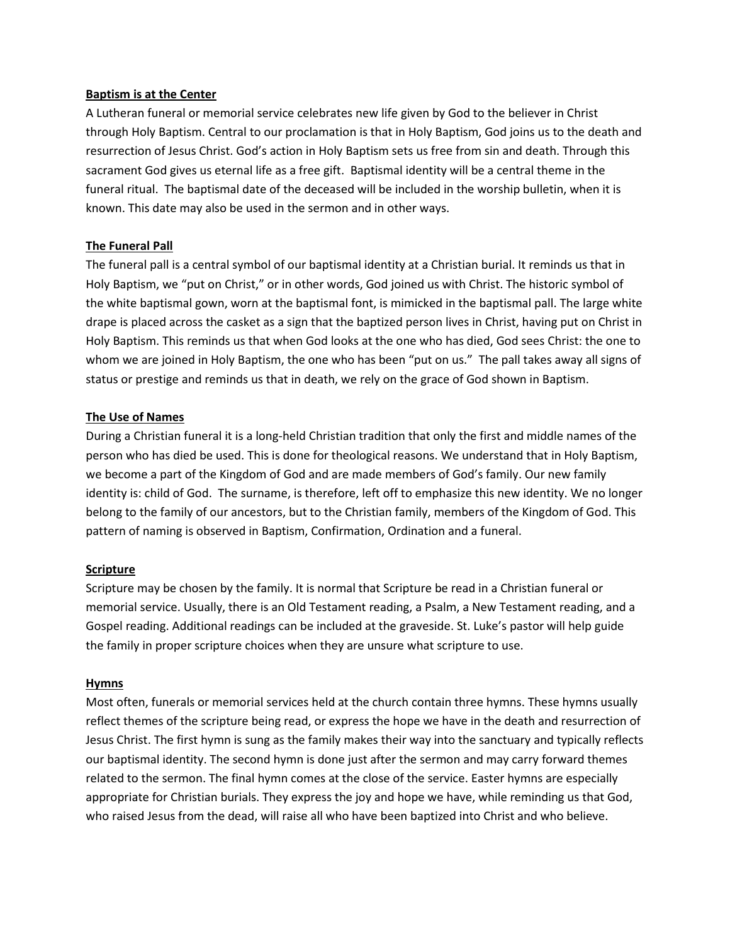#### **Baptism is at the Center**

A Lutheran funeral or memorial service celebrates new life given by God to the believer in Christ through Holy Baptism. Central to our proclamation is that in Holy Baptism, God joins us to the death and resurrection of Jesus Christ. God's action in Holy Baptism sets us free from sin and death. Through this sacrament God gives us eternal life as a free gift. Baptismal identity will be a central theme in the funeral ritual. The baptismal date of the deceased will be included in the worship bulletin, when it is known. This date may also be used in the sermon and in other ways.

#### **The Funeral Pall**

The funeral pall is a central symbol of our baptismal identity at a Christian burial. It reminds us that in Holy Baptism, we "put on Christ," or in other words, God joined us with Christ. The historic symbol of the white baptismal gown, worn at the baptismal font, is mimicked in the baptismal pall. The large white drape is placed across the casket as a sign that the baptized person lives in Christ, having put on Christ in Holy Baptism. This reminds us that when God looks at the one who has died, God sees Christ: the one to whom we are joined in Holy Baptism, the one who has been "put on us." The pall takes away all signs of status or prestige and reminds us that in death, we rely on the grace of God shown in Baptism.

#### **The Use of Names**

During a Christian funeral it is a long-held Christian tradition that only the first and middle names of the person who has died be used. This is done for theological reasons. We understand that in Holy Baptism, we become a part of the Kingdom of God and are made members of God's family. Our new family identity is: child of God. The surname, is therefore, left off to emphasize this new identity. We no longer belong to the family of our ancestors, but to the Christian family, members of the Kingdom of God. This pattern of naming is observed in Baptism, Confirmation, Ordination and a funeral.

#### **Scripture**

Scripture may be chosen by the family. It is normal that Scripture be read in a Christian funeral or memorial service. Usually, there is an Old Testament reading, a Psalm, a New Testament reading, and a Gospel reading. Additional readings can be included at the graveside. St. Luke's pastor will help guide the family in proper scripture choices when they are unsure what scripture to use.

#### **Hymns**

Most often, funerals or memorial services held at the church contain three hymns. These hymns usually reflect themes of the scripture being read, or express the hope we have in the death and resurrection of Jesus Christ. The first hymn is sung as the family makes their way into the sanctuary and typically reflects our baptismal identity. The second hymn is done just after the sermon and may carry forward themes related to the sermon. The final hymn comes at the close of the service. Easter hymns are especially appropriate for Christian burials. They express the joy and hope we have, while reminding us that God, who raised Jesus from the dead, will raise all who have been baptized into Christ and who believe.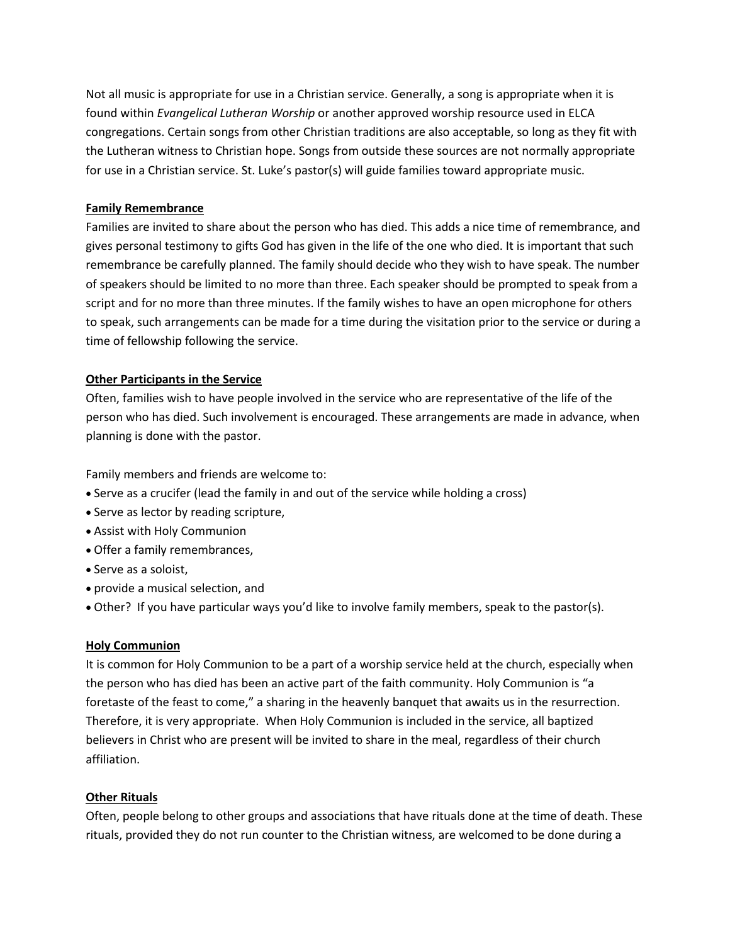Not all music is appropriate for use in a Christian service. Generally, a song is appropriate when it is found within *Evangelical Lutheran Worship* or another approved worship resource used in ELCA congregations. Certain songs from other Christian traditions are also acceptable, so long as they fit with the Lutheran witness to Christian hope. Songs from outside these sources are not normally appropriate for use in a Christian service. St. Luke's pastor(s) will guide families toward appropriate music.

#### **Family Remembrance**

Families are invited to share about the person who has died. This adds a nice time of remembrance, and gives personal testimony to gifts God has given in the life of the one who died. It is important that such remembrance be carefully planned. The family should decide who they wish to have speak. The number of speakers should be limited to no more than three. Each speaker should be prompted to speak from a script and for no more than three minutes. If the family wishes to have an open microphone for others to speak, such arrangements can be made for a time during the visitation prior to the service or during a time of fellowship following the service.

### **Other Participants in the Service**

Often, families wish to have people involved in the service who are representative of the life of the person who has died. Such involvement is encouraged. These arrangements are made in advance, when planning is done with the pastor.

Family members and friends are welcome to:

- Serve as a crucifer (lead the family in and out of the service while holding a cross)
- Serve as lector by reading scripture,
- Assist with Holy Communion
- Offer a family remembrances,
- Serve as a soloist,
- provide a musical selection, and
- Other? If you have particular ways you'd like to involve family members, speak to the pastor(s).

#### **Holy Communion**

It is common for Holy Communion to be a part of a worship service held at the church, especially when the person who has died has been an active part of the faith community. Holy Communion is "a foretaste of the feast to come," a sharing in the heavenly banquet that awaits us in the resurrection. Therefore, it is very appropriate. When Holy Communion is included in the service, all baptized believers in Christ who are present will be invited to share in the meal, regardless of their church affiliation.

#### **Other Rituals**

Often, people belong to other groups and associations that have rituals done at the time of death. These rituals, provided they do not run counter to the Christian witness, are welcomed to be done during a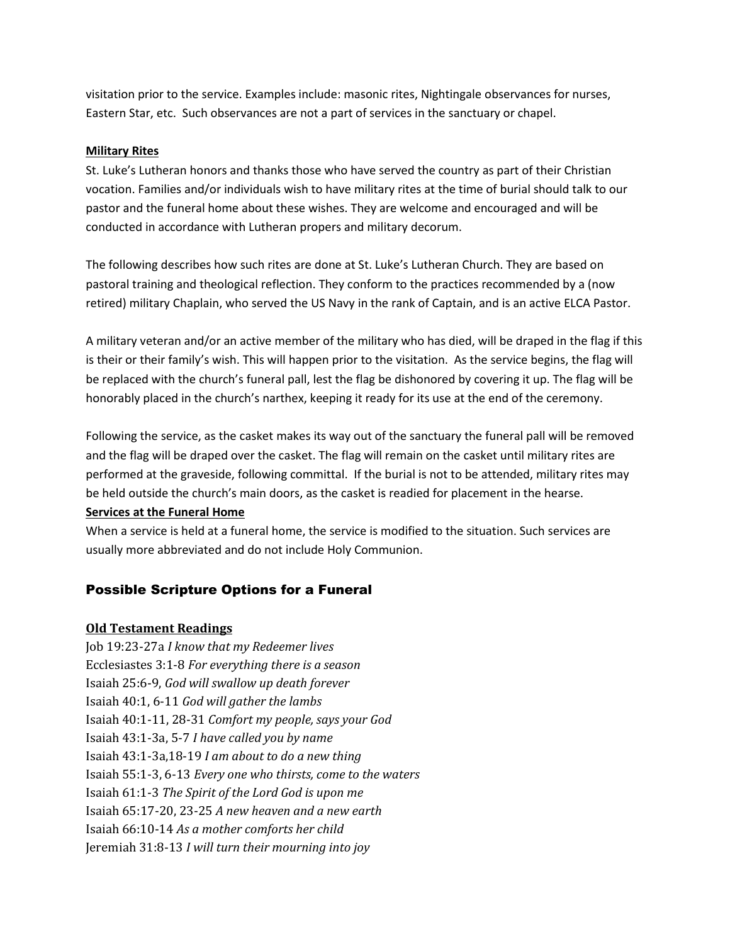visitation prior to the service. Examples include: masonic rites, Nightingale observances for nurses, Eastern Star, etc. Such observances are not a part of services in the sanctuary or chapel.

#### **Military Rites**

St. Luke's Lutheran honors and thanks those who have served the country as part of their Christian vocation. Families and/or individuals wish to have military rites at the time of burial should talk to our pastor and the funeral home about these wishes. They are welcome and encouraged and will be conducted in accordance with Lutheran propers and military decorum.

The following describes how such rites are done at St. Luke's Lutheran Church. They are based on pastoral training and theological reflection. They conform to the practices recommended by a (now retired) military Chaplain, who served the US Navy in the rank of Captain, and is an active ELCA Pastor.

A military veteran and/or an active member of the military who has died, will be draped in the flag if this is their or their family's wish. This will happen prior to the visitation. As the service begins, the flag will be replaced with the church's funeral pall, lest the flag be dishonored by covering it up. The flag will be honorably placed in the church's narthex, keeping it ready for its use at the end of the ceremony.

Following the service, as the casket makes its way out of the sanctuary the funeral pall will be removed and the flag will be draped over the casket. The flag will remain on the casket until military rites are performed at the graveside, following committal. If the burial is not to be attended, military rites may be held outside the church's main doors, as the casket is readied for placement in the hearse.

#### **Services at the Funeral Home**

When a service is held at a funeral home, the service is modified to the situation. Such services are usually more abbreviated and do not include Holy Communion.

# Possible Scripture Options for a Funeral

## **Old Testament Readings**

Job 19:23-27a *I know that my Redeemer lives* Ecclesiastes 3:1-8 *For everything there is a season* Isaiah 25:6-9, *God will swallow up death forever* Isaiah 40:1, 6-11 *God will gather the lambs* Isaiah 40:1-11, 28-31 *Comfort my people, says your God* Isaiah 43:1-3a, 5-7 *I have called you by name* Isaiah 43:1-3a,18-19 *I am about to do a new thing* Isaiah 55:1-3, 6-13 *Every one who thirsts, come to the waters* Isaiah 61:1-3 *The Spirit of the Lord God is upon me* Isaiah 65:17-20, 23-25 *A new heaven and a new earth* Isaiah 66:10-14 *As a mother comforts her child* Jeremiah 31:8-13 *I will turn their mourning into joy*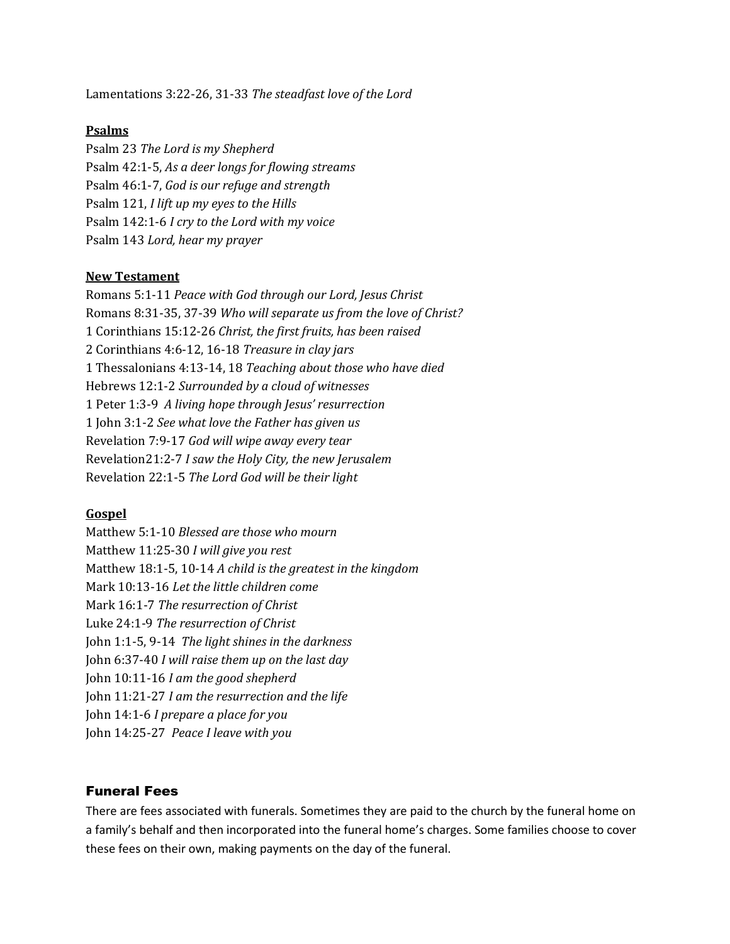Lamentations 3:22-26, 31-33 *The steadfast love of the Lord*

## **Psalms**

Psalm 23 *The Lord is my Shepherd* Psalm 42:1-5, *As a deer longs for flowing streams* Psalm 46:1-7, *God is our refuge and strength* Psalm 121, *I lift up my eyes to the Hills* Psalm 142:1-6 *I cry to the Lord with my voice* Psalm 143 *Lord, hear my prayer*

#### **New Testament**

Romans 5:1-11 *Peace with God through our Lord, Jesus Christ* Romans 8:31-35, 37-39 *Who will separate us from the love of Christ?* 1 Corinthians 15:12-26 *Christ, the first fruits, has been raised* 2 Corinthians 4:6-12, 16-18 *Treasure in clay jars* 1 Thessalonians 4:13-14, 18 *Teaching about those who have died* Hebrews 12:1-2 *Surrounded by a cloud of witnesses* 1 Peter 1:3-9 *A living hope through Jesus' resurrection* 1 John 3:1-2 *See what love the Father has given us* Revelation 7:9-17 *God will wipe away every tear* Revelation21:2-7 *I saw the Holy City, the new Jerusalem* Revelation 22:1-5 *The Lord God will be their light*

## **Gospel**

Matthew 5:1-10 *Blessed are those who mourn* Matthew 11:25-30 *I will give you rest* Matthew 18:1-5, 10-14 *A child is the greatest in the kingdom* Mark 10:13-16 *Let the little children come* Mark 16:1-7 *The resurrection of Christ* Luke 24:1-9 *The resurrection of Christ* John 1:1-5, 9-14 *The light shines in the darkness* John 6:37-40 *I will raise them up on the last day* John 10:11-16 *I am the good shepherd* John 11:21-27 *I am the resurrection and the life* John 14:1-6 *I prepare a place for you* John 14:25-27 *Peace I leave with you*

## Funeral Fees

There are fees associated with funerals. Sometimes they are paid to the church by the funeral home on a family's behalf and then incorporated into the funeral home's charges. Some families choose to cover these fees on their own, making payments on the day of the funeral.